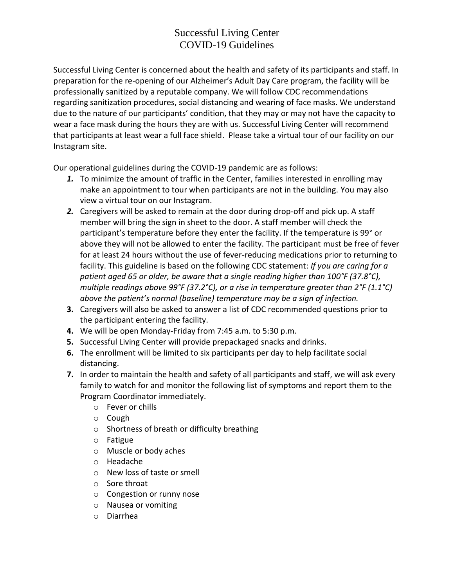## Successful Living Center COVID-19 Guidelines

Successful Living Center is concerned about the health and safety of its participants and staff. In preparation for the re-opening of our Alzheimer's Adult Day Care program, the facility will be professionally sanitized by a reputable company. We will follow CDC recommendations regarding sanitization procedures, social distancing and wearing of face masks. We understand due to the nature of our participants' condition, that they may or may not have the capacity to wear a face mask during the hours they are with us. Successful Living Center will recommend that participants at least wear a full face shield. Please take a virtual tour of our facility on our Instagram site.

Our operational guidelines during the COVID-19 pandemic are as follows:

- *1.* To minimize the amount of traffic in the Center, families interested in enrolling may make an appointment to tour when participants are not in the building. You may also view a virtual tour on our Instagram.
- *2.* Caregivers will be asked to remain at the door during drop-off and pick up. A staff member will bring the sign in sheet to the door. A staff member will check the participant's temperature before they enter the facility. If the temperature is 99° or above they will not be allowed to enter the facility. The participant must be free of fever for at least 24 hours without the use of fever-reducing medications prior to returning to facility. This guideline is based on the following CDC statement: *If you are caring for a patient aged 65 or older, be aware that a single reading higher than 100°F (37.8°C), multiple readings above 99°F (37.2°C), or a rise in temperature greater than 2°F (1.1°C) above the patient's normal (baseline) temperature may be a sign of infection.*
- **3.** Caregivers will also be asked to answer a list of CDC recommended questions prior to the participant entering the facility.
- **4.** We will be open Monday-Friday from 7:45 a.m. to 5:30 p.m.
- **5.** Successful Living Center will provide prepackaged snacks and drinks.
- **6.** The enrollment will be limited to six participants per day to help facilitate social distancing.
- **7.** In order to maintain the health and safety of all participants and staff, we will ask every family to watch for and monitor the following list of symptoms and report them to the Program Coordinator immediately.
	- o Fever or chills
	- o Cough
	- o Shortness of breath or difficulty breathing
	- o Fatigue
	- o Muscle or body aches
	- o Headache
	- o New loss of taste or smell
	- o Sore throat
	- o Congestion or runny nose
	- o Nausea or vomiting
	- o Diarrhea